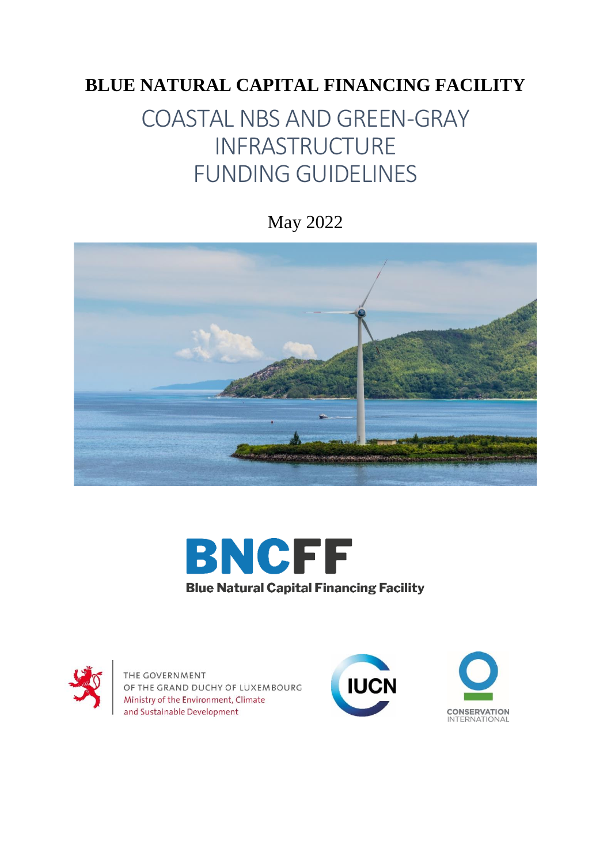# **BLUE NATURAL CAPITAL FINANCING FACILITY**

# COASTAL NBS AND GREEN-GRAY INFRASTRUCTURE FUNDING GUIDELINES

May 2022







THE GOVERNMENT OF THE GRAND DUCHY OF LUXEMBOURG Ministry of the Environment, Climate and Sustainable Development



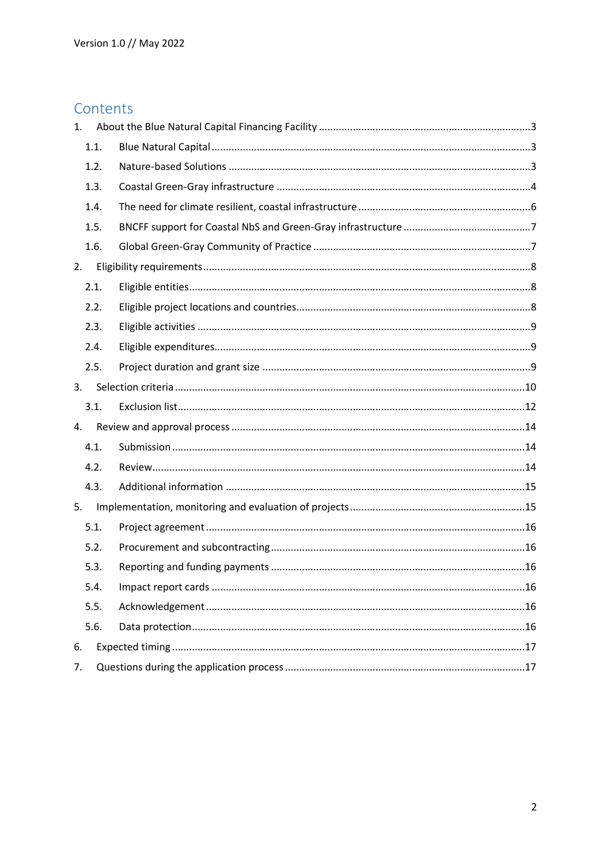# Contents

| 1. |      |  |
|----|------|--|
|    | 1.1. |  |
|    | 1.2. |  |
|    | 1.3. |  |
|    | 1.4. |  |
|    | 1.5. |  |
|    | 1.6. |  |
| 2. |      |  |
|    | 2.1. |  |
|    | 2.2. |  |
|    | 2.3. |  |
|    | 2.4. |  |
|    | 2.5. |  |
| 3. |      |  |
|    | 3.1. |  |
|    |      |  |
| 4. |      |  |
|    | 4.1. |  |
|    | 4.2. |  |
|    | 4.3. |  |
| 5. |      |  |
|    | 5.1. |  |
|    | 5.2. |  |
|    | 5.3. |  |
|    | 5.4. |  |
|    | 5.5. |  |
|    | 5.6. |  |
| 6. |      |  |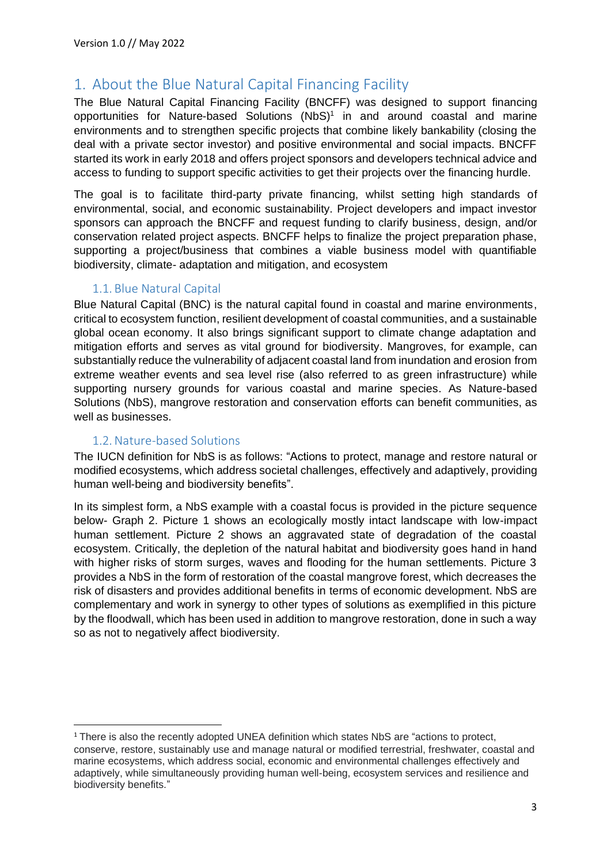# <span id="page-2-0"></span>1. About the Blue Natural Capital Financing Facility

The Blue Natural Capital Financing Facility (BNCFF) was designed to support financing opportunities for Nature-based Solutions (NbS) 1 in and around coastal and marine environments and to strengthen specific projects that combine likely bankability (closing the deal with a private sector investor) and positive environmental and social impacts. BNCFF started its work in early 2018 and offers project sponsors and developers technical advice and access to funding to support specific activities to get their projects over the financing hurdle.

The goal is to facilitate third-party private financing, whilst setting high standards of environmental, social, and economic sustainability. Project developers and impact investor sponsors can approach the BNCFF and request funding to clarify business, design, and/or conservation related project aspects. BNCFF helps to finalize the project preparation phase, supporting a project/business that combines a viable business model with quantifiable biodiversity, climate- adaptation and mitigation, and ecosystem

# 1.1. Blue Natural Capital

<span id="page-2-1"></span>Blue Natural Capital (BNC) is the natural capital found in coastal and marine environments, critical to ecosystem function, resilient development of coastal communities, and a sustainable global ocean economy. It also brings significant support to climate change adaptation and mitigation efforts and serves as vital ground for biodiversity. Mangroves, for example, can substantially reduce the vulnerability of adjacent coastal land from inundation and erosion from extreme weather events and sea level rise (also referred to as green infrastructure) while supporting nursery grounds for various coastal and marine species. As Nature-based Solutions (NbS), mangrove restoration and conservation efforts can benefit communities, as well as businesses.

### 1.2. Nature-based Solutions

<span id="page-2-2"></span>The IUCN definition for NbS is as follows: "Actions to protect, manage and restore natural or modified ecosystems, which address societal challenges, effectively and adaptively, providing human well-being and biodiversity benefits".

In its simplest form, a NbS example with a coastal focus is provided in the picture sequence below- Graph 2. Picture 1 shows an ecologically mostly intact landscape with low-impact human settlement. Picture 2 shows an aggravated state of degradation of the coastal ecosystem. Critically, the depletion of the natural habitat and biodiversity goes hand in hand with higher risks of storm surges, waves and flooding for the human settlements. Picture 3 provides a NbS in the form of restoration of the coastal mangrove forest, which decreases the risk of disasters and provides additional benefits in terms of economic development. NbS are complementary and work in synergy to other types of solutions as exemplified in this picture by the floodwall, which has been used in addition to mangrove restoration, done in such a way so as not to negatively affect biodiversity.

<sup>&</sup>lt;sup>1</sup> There is also the recently adopted UNEA definition which states NbS are "actions to protect, conserve, restore, sustainably use and manage natural or modified terrestrial, freshwater, coastal and marine ecosystems, which address social, economic and environmental challenges effectively and adaptively, while simultaneously providing human well-being, ecosystem services and resilience and biodiversity benefits."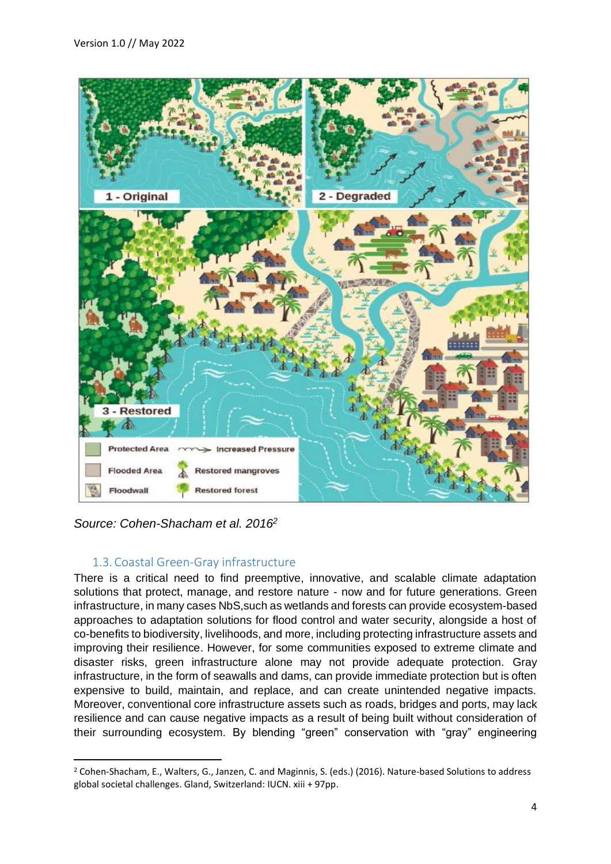

*Source: Cohen-Shacham et al. 2016<sup>2</sup>*

### 1.3. Coastal Green-Gray infrastructure

<span id="page-3-0"></span>There is a critical need to find preemptive, innovative, and scalable climate adaptation solutions that protect, manage, and restore nature - now and for future generations. Green infrastructure, in many cases NbS,such as wetlands and forests can provide ecosystem-based approaches to adaptation solutions for flood control and water security, alongside a host of co-benefits to biodiversity, livelihoods, and more, including protecting infrastructure assets and improving their resilience. However, for some communities exposed to extreme climate and disaster risks, green infrastructure alone may not provide adequate protection. Gray infrastructure, in the form of seawalls and dams, can provide immediate protection but is often expensive to build, maintain, and replace, and can create unintended negative impacts. Moreover, conventional core infrastructure assets such as roads, bridges and ports, may lack resilience and can cause negative impacts as a result of being built without consideration of their surrounding ecosystem. By blending "green" conservation with "gray" engineering

<sup>2</sup> Cohen-Shacham, E., Walters, G., Janzen, C. and Maginnis, S. (eds.) (2016). Nature-based Solutions to address global societal challenges. Gland, Switzerland: IUCN. xiii + 97pp.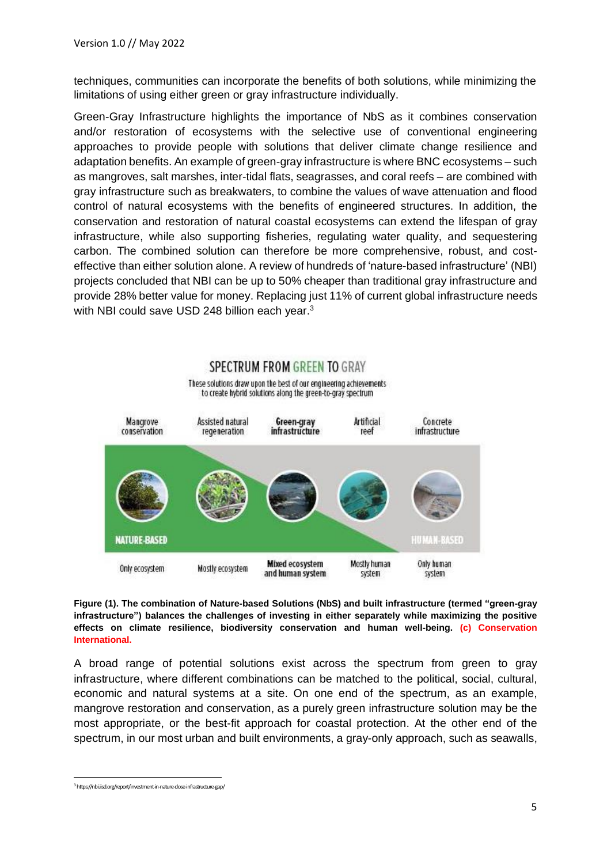techniques, communities can incorporate the benefits of both solutions, while minimizing the limitations of using either green or gray infrastructure individually.

Green-Gray Infrastructure highlights the importance of NbS as it combines conservation and/or restoration of ecosystems with the selective use of conventional engineering approaches to provide people with solutions that deliver climate change resilience and adaptation benefits. An example of green-gray infrastructure is where BNC ecosystems – such as mangroves, salt marshes, inter-tidal flats, seagrasses, and coral reefs – are combined with gray infrastructure such as breakwaters, to combine the values of wave attenuation and flood control of natural ecosystems with the benefits of engineered structures. In addition, the conservation and restoration of natural coastal ecosystems can extend the lifespan of gray infrastructure, while also supporting fisheries, regulating water quality, and sequestering carbon. The combined solution can therefore be more comprehensive, robust, and costeffective than either solution alone. A review of hundreds of 'nature-based infrastructure' (NBI) projects concluded that NBI can be up to 50% cheaper than traditional gray infrastructure and provide 28% better value for money. Replacing just 11% of current global infrastructure needs with NBI could save USD 248 billion each year.<sup>3</sup>



**Figure (1). The combination of Nature-based Solutions (NbS) and built infrastructure (termed "green-gray infrastructure") balances the challenges of investing in either separately while maximizing the positive effects on climate resilience, biodiversity conservation and human well-being. (c) Conservation International.**

A broad range of potential solutions exist across the spectrum from green to gray infrastructure, where different combinations can be matched to the political, social, cultural, economic and natural systems at a site. On one end of the spectrum, as an example, mangrove restoration and conservation, as a purely green infrastructure solution may be the most appropriate, or the best-fit approach for coastal protection. At the other end of the spectrum, in our most urban and built environments, a gray-only approach, such as seawalls,

<sup>3</sup>https://nbi.iisd.org/report/investment-in-nature-close-infrastructure-gap/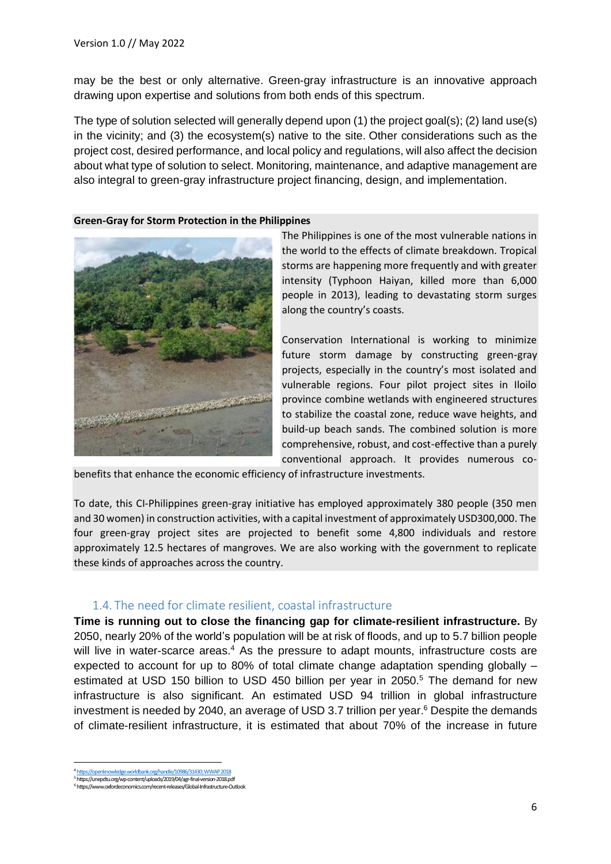may be the best or only alternative. Green-gray infrastructure is an innovative approach drawing upon expertise and solutions from both ends of this spectrum.

The type of solution selected will generally depend upon (1) the project goal(s); (2) land use(s) in the vicinity; and (3) the ecosystem(s) native to the site. Other considerations such as the project cost, desired performance, and local policy and regulations, will also affect the decision about what type of solution to select. Monitoring, maintenance, and adaptive management are also integral to green-gray infrastructure project financing, design, and implementation.

#### **Green-Gray for Storm Protection in the Philippines**



The Philippines is one of the most vulnerable nations in the world to the effects of climate breakdown. Tropical storms are happening more frequently and with greater intensity (Typhoon Haiyan, killed more than 6,000 people in 2013), leading to devastating storm surges along the country's coasts.

Conservation International is working to minimize future storm damage by constructing green-gray projects, especially in the country's most isolated and vulnerable regions. Four pilot project sites in Iloilo province combine wetlands with engineered structures to stabilize the coastal zone, reduce wave heights, and build-up beach sands. The combined solution is more comprehensive, robust, and cost-effective than a purely conventional approach. It provides numerous co-

benefits that enhance the economic efficiency of infrastructure investments.

To date, this CI-Philippines green-gray initiative has employed approximately 380 people (350 men and 30 women) in construction activities, with a capital investment of approximately USD300,000. The four green-gray project sites are projected to benefit some 4,800 individuals and restore approximately 12.5 hectares of mangroves. We are also working with the government to replicate these kinds of approaches across the country.

### 1.4. The need for climate resilient, coastal infrastructure

<span id="page-5-0"></span>**Time is running out to close the financing gap for climate-resilient infrastructure.** By 2050, nearly 20% of the world's population will be at risk of floods, and up to 5.7 billion people will live in water-scarce areas.<sup>4</sup> As the pressure to adapt mounts, infrastructure costs are expected to account for up to 80% of total climate change adaptation spending globally – estimated at USD 150 billion to USD 450 billion per year in 2050.<sup>5</sup> The demand for new infrastructure is also significant. An estimated USD 94 trillion in global infrastructure investment is needed by 2040, an average of USD 3.7 trillion per year. $6$  Despite the demands of climate-resilient infrastructure, it is estimated that about 70% of the increase in future

<sup>86/31430;</sup> WWA <sup>5</sup>https://unepdtu.org/wp-content/uploads/2019/04/agr-final-version-2018.pdf

<sup>6</sup>https://www.oxfordeconomics.com/recent-releases/Global-Infrastructure-Outlook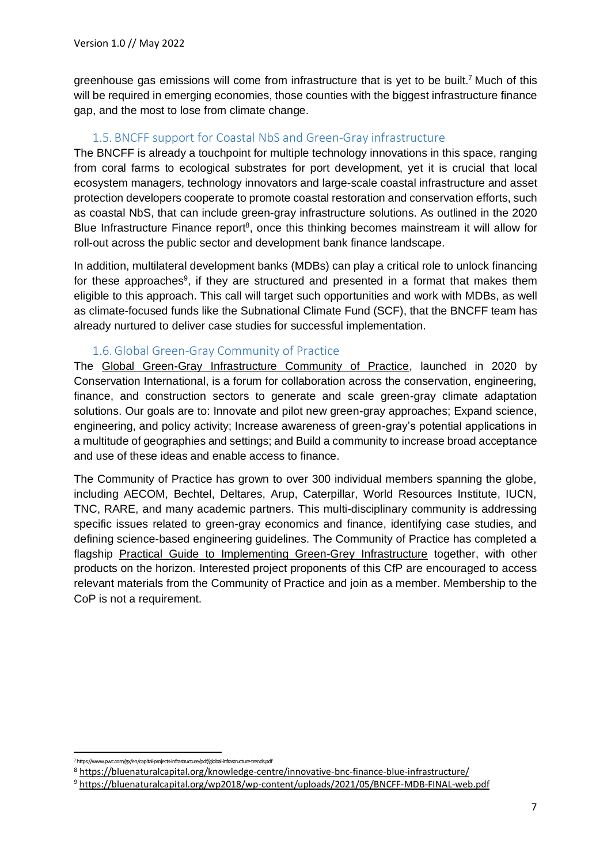greenhouse gas emissions will come from infrastructure that is yet to be built.<sup>7</sup> Much of this will be required in emerging economies, those counties with the biggest infrastructure finance gap, and the most to lose from climate change.

# 1.5. BNCFF support for Coastal NbS and Green-Gray infrastructure

<span id="page-6-0"></span>The BNCFF is already a touchpoint for multiple technology innovations in this space, ranging from coral farms to ecological substrates for port development, yet it is crucial that local ecosystem managers, technology innovators and large-scale coastal infrastructure and asset protection developers cooperate to promote coastal restoration and conservation efforts, such as coastal NbS, that can include green-gray infrastructure solutions. As outlined in the 2020 Blue Infrastructure Finance report<sup>8</sup>, once this thinking becomes mainstream it will allow for roll-out across the public sector and development bank finance landscape.

In addition, multilateral development banks (MDBs) can play a critical role to unlock financing for these approaches<sup>9</sup>, if they are structured and presented in a format that makes them eligible to this approach. This call will target such opportunities and work with MDBs, as well as climate-focused funds like the Subnational Climate Fund (SCF), that the BNCFF team has already nurtured to deliver case studies for successful implementation.

# 1.6. Global Green-Gray Community of Practice

<span id="page-6-1"></span>The [Global Green-Gray Infrastructure Community of Practice,](https://www.conservation.org/projects/global-green-gray-community-of-practice) launched in 2020 by Conservation International, is a forum for collaboration across the conservation, engineering, finance, and construction sectors to generate and scale green-gray climate adaptation solutions. Our goals are to: Innovate and pilot new green-gray approaches; Expand science, engineering, and policy activity; Increase awareness of green-gray's potential applications in a multitude of geographies and settings; and Build a community to increase broad acceptance and use of these ideas and enable access to finance.

The Community of Practice has grown to over 300 individual members spanning the globe, including AECOM, Bechtel, Deltares, Arup, Caterpillar, World Resources Institute, IUCN, TNC, RARE, and many academic partners. This multi-disciplinary community is addressing specific issues related to green-gray economics and finance, identifying case studies, and defining science-based engineering guidelines. The Community of Practice has completed a flagship [Practical Guide to Implementing Green-Grey Infrastructure](https://www.conservation.org/docs/default-source/publication-pdfs/ci-green-gray-practical-guide-v08.pdf?sfvrsn=62ed4b48_2) together, with other products on the horizon. Interested project proponents of this CfP are encouraged to access relevant materials from the Community of Practice and join as a member. Membership to the CoP is not a requirement.

<sup>7</sup>https://www.pwc.com/gx/en/capital-projects-infrastructure/pdf/global-infrastructure-trends.pdf

<sup>8</sup> <https://bluenaturalcapital.org/knowledge-centre/innovative-bnc-finance-blue-infrastructure/>

<sup>9</sup> <https://bluenaturalcapital.org/wp2018/wp-content/uploads/2021/05/BNCFF-MDB-FINAL-web.pdf>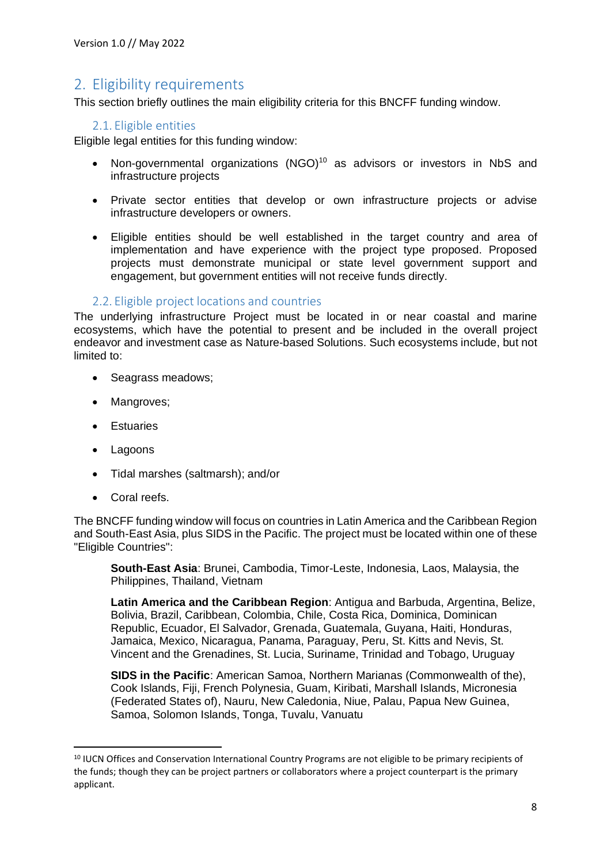# <span id="page-7-0"></span>2. Eligibility requirements

This section briefly outlines the main eligibility criteria for this BNCFF funding window.

### <span id="page-7-1"></span>2.1. Eligible entities

Eligible legal entities for this funding window:

- Non-governmental organizations (NGO)<sup>10</sup> as advisors or investors in NbS and infrastructure projects
- Private sector entities that develop or own infrastructure projects or advise infrastructure developers or owners.
- Eligible entities should be well established in the target country and area of implementation and have experience with the project type proposed. Proposed projects must demonstrate municipal or state level government support and engagement, but government entities will not receive funds directly.

### 2.2. Eligible project locations and countries

<span id="page-7-2"></span>The underlying infrastructure Project must be located in or near coastal and marine ecosystems, which have the potential to present and be included in the overall project endeavor and investment case as Nature-based Solutions. Such ecosystems include, but not limited to:

- Seagrass meadows;
- Mangroves;
- Estuaries
- Lagoons
- Tidal marshes (saltmarsh); and/or
- Coral reefs.

The BNCFF funding window will focus on countries in Latin America and the Caribbean Region and South-East Asia, plus SIDS in the Pacific. The project must be located within one of these "Eligible Countries":

**South-East Asia**: Brunei, Cambodia, Timor-Leste, Indonesia, Laos, Malaysia, the Philippines, Thailand, Vietnam

**Latin America and the Caribbean Region**: Antigua and Barbuda, Argentina, Belize, Bolivia, Brazil, Caribbean, Colombia, Chile, Costa Rica, Dominica, Dominican Republic, Ecuador, El Salvador, Grenada, Guatemala, Guyana, Haiti, Honduras, Jamaica, Mexico, Nicaragua, Panama, Paraguay, Peru, St. Kitts and Nevis, St. Vincent and the Grenadines, St. Lucia, Suriname, Trinidad and Tobago, Uruguay

**SIDS in the Pacific**: American Samoa, Northern Marianas (Commonwealth of the), Cook Islands, Fiji, French Polynesia, Guam, Kiribati, Marshall Islands, Micronesia (Federated States of), Nauru, New Caledonia, Niue, Palau, Papua New Guinea, Samoa, Solomon Islands, Tonga, Tuvalu, Vanuatu

<sup>&</sup>lt;sup>10</sup> IUCN Offices and Conservation International Country Programs are not eligible to be primary recipients of the funds; though they can be project partners or collaborators where a project counterpart is the primary applicant.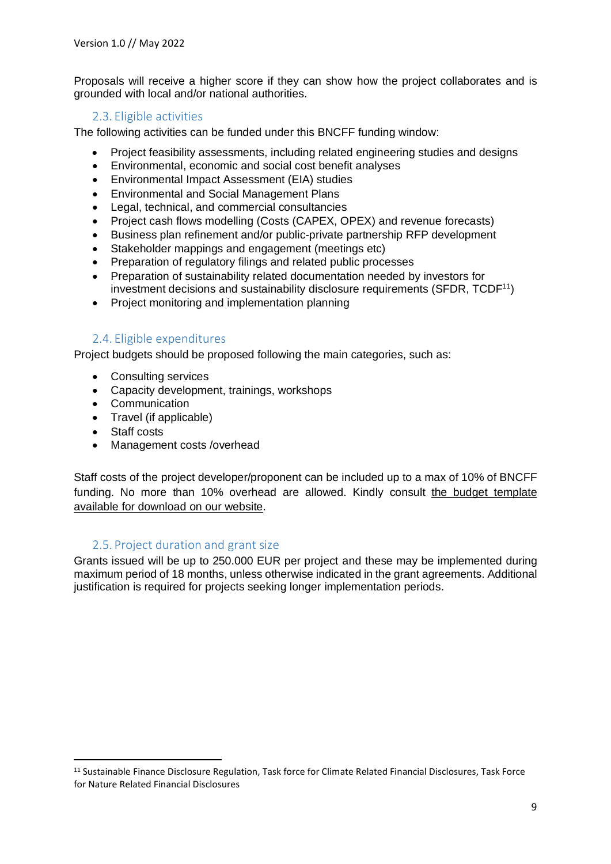Proposals will receive a higher score if they can show how the project collaborates and is grounded with local and/or national authorities.

# 2.3. Eligible activities

<span id="page-8-0"></span>The following activities can be funded under this BNCFF funding window:

- Project feasibility assessments, including related engineering studies and designs
- Environmental, economic and social cost benefit analyses
- Environmental Impact Assessment (EIA) studies
- Environmental and Social Management Plans
- Legal, technical, and commercial consultancies
- Project cash flows modelling (Costs (CAPEX, OPEX) and revenue forecasts)
- Business plan refinement and/or public-private partnership RFP development
- Stakeholder mappings and engagement (meetings etc)
- Preparation of regulatory filings and related public processes
- Preparation of sustainability related documentation needed by investors for investment decisions and sustainability disclosure requirements (SFDR,  $TCDF<sup>11</sup>$ )
- Project monitoring and implementation planning

# 2.4. Eligible expenditures

<span id="page-8-1"></span>Project budgets should be proposed following the main categories, such as:

- Consulting services
- Capacity development, trainings, workshops
- Communication
- Travel (if applicable)
- Staff costs
- Management costs /overhead

Staff costs of the project developer/proponent can be included up to a max of 10% of BNCFF funding. No more than 10% overhead are allowed. Kindly consult the budget [template](https://bluenaturalcapital.org/wp2018/wp-content/uploads/2022/05/BNCFF-Proposal-Budget-Template_FINAL.xlsx) available for [download](https://bluenaturalcapital.org/wp2018/wp-content/uploads/2022/05/BNCFF-Proposal-Budget-Template_FINAL.xlsx) on our website.

### 2.5. Project duration and grant size

<span id="page-8-2"></span>Grants issued will be up to 250.000 EUR per project and these may be implemented during maximum period of 18 months, unless otherwise indicated in the grant agreements. Additional justification is required for projects seeking longer implementation periods.

<sup>11</sup> Sustainable Finance Disclosure Regulation, Task force for Climate Related Financial Disclosures, Task Force for Nature Related Financial Disclosures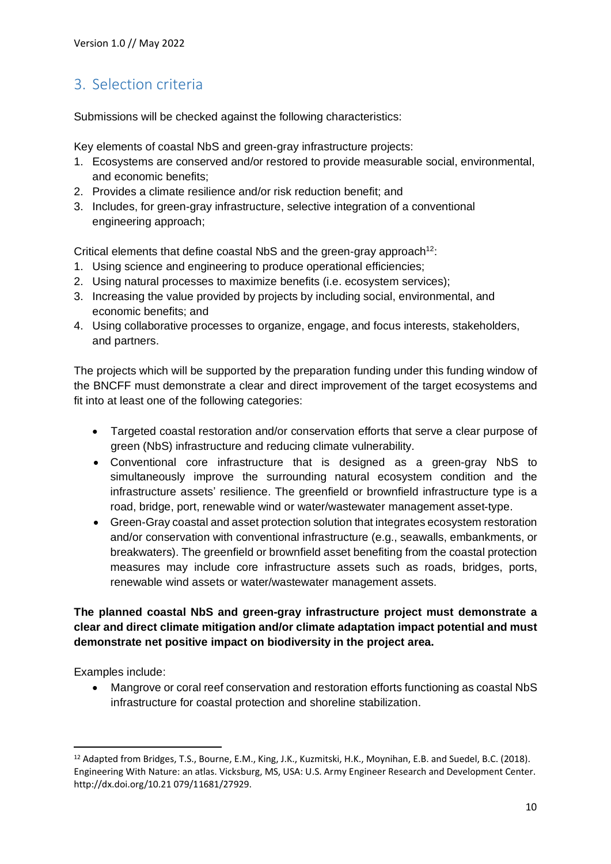# <span id="page-9-0"></span>3. Selection criteria

Submissions will be checked against the following characteristics:

Key elements of coastal NbS and green-gray infrastructure projects:

- 1. Ecosystems are conserved and/or restored to provide measurable social, environmental, and economic benefits;
- 2. Provides a climate resilience and/or risk reduction benefit; and
- 3. Includes, for green-gray infrastructure, selective integration of a conventional engineering approach;

Critical elements that define coastal NbS and the green-gray approach<sup>12</sup>:

- 1. Using science and engineering to produce operational efficiencies;
- 2. Using natural processes to maximize benefits (i.e. ecosystem services);
- 3. Increasing the value provided by projects by including social, environmental, and economic benefits; and
- 4. Using collaborative processes to organize, engage, and focus interests, stakeholders, and partners.

The projects which will be supported by the preparation funding under this funding window of the BNCFF must demonstrate a clear and direct improvement of the target ecosystems and fit into at least one of the following categories:

- Targeted coastal restoration and/or conservation efforts that serve a clear purpose of green (NbS) infrastructure and reducing climate vulnerability.
- Conventional core infrastructure that is designed as a green-gray NbS to simultaneously improve the surrounding natural ecosystem condition and the infrastructure assets' resilience. The greenfield or brownfield infrastructure type is a road, bridge, port, renewable wind or water/wastewater management asset-type.
- Green-Gray coastal and asset protection solution that integrates ecosystem restoration and/or conservation with conventional infrastructure (e.g., seawalls, embankments, or breakwaters). The greenfield or brownfield asset benefiting from the coastal protection measures may include core infrastructure assets such as roads, bridges, ports, renewable wind assets or water/wastewater management assets.

# **The planned coastal NbS and green-gray infrastructure project must demonstrate a clear and direct climate mitigation and/or climate adaptation impact potential and must demonstrate net positive impact on biodiversity in the project area.**

Examples include:

• Mangrove or coral reef conservation and restoration efforts functioning as coastal NbS infrastructure for coastal protection and shoreline stabilization.

<sup>&</sup>lt;sup>12</sup> Adapted from Bridges, T.S., Bourne, E.M., King, J.K., Kuzmitski, H.K., Moynihan, E.B. and Suedel, B.C. (2018). Engineering With Nature: an atlas. Vicksburg, MS, USA: U.S. Army Engineer Research and Development Center. http://dx.doi.org/10.21 079/11681/27929.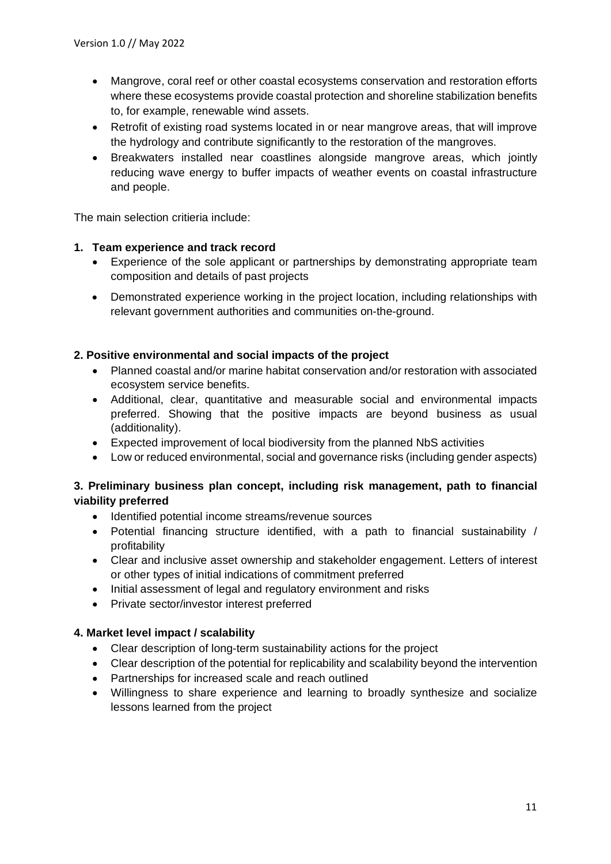- Mangrove, coral reef or other coastal ecosystems conservation and restoration efforts where these ecosystems provide coastal protection and shoreline stabilization benefits to, for example, renewable wind assets.
- Retrofit of existing road systems located in or near mangrove areas, that will improve the hydrology and contribute significantly to the restoration of the mangroves.
- Breakwaters installed near coastlines alongside mangrove areas, which jointly reducing wave energy to buffer impacts of weather events on coastal infrastructure and people.

The main selection critieria include:

#### **1. Team experience and track record**

- Experience of the sole applicant or partnerships by demonstrating appropriate team composition and details of past projects
- Demonstrated experience working in the project location, including relationships with relevant government authorities and communities on-the-ground.

#### **2. Positive environmental and social impacts of the project**

- Planned coastal and/or marine habitat conservation and/or restoration with associated ecosystem service benefits.
- Additional, clear, quantitative and measurable social and environmental impacts preferred. Showing that the positive impacts are beyond business as usual (additionality).
- Expected improvement of local biodiversity from the planned NbS activities
- Low or reduced environmental, social and governance risks (including gender aspects)

#### **3. Preliminary business plan concept, including risk management, path to financial viability preferred**

- Identified potential income streams/revenue sources
- Potential financing structure identified, with a path to financial sustainability / profitability
- Clear and inclusive asset ownership and stakeholder engagement. Letters of interest or other types of initial indications of commitment preferred
- Initial assessment of legal and regulatory environment and risks
- Private sector/investor interest preferred

#### **4. Market level impact / scalability**

- Clear description of long-term sustainability actions for the project
- Clear description of the potential for replicability and scalability beyond the intervention
- Partnerships for increased scale and reach outlined
- Willingness to share experience and learning to broadly synthesize and socialize lessons learned from the project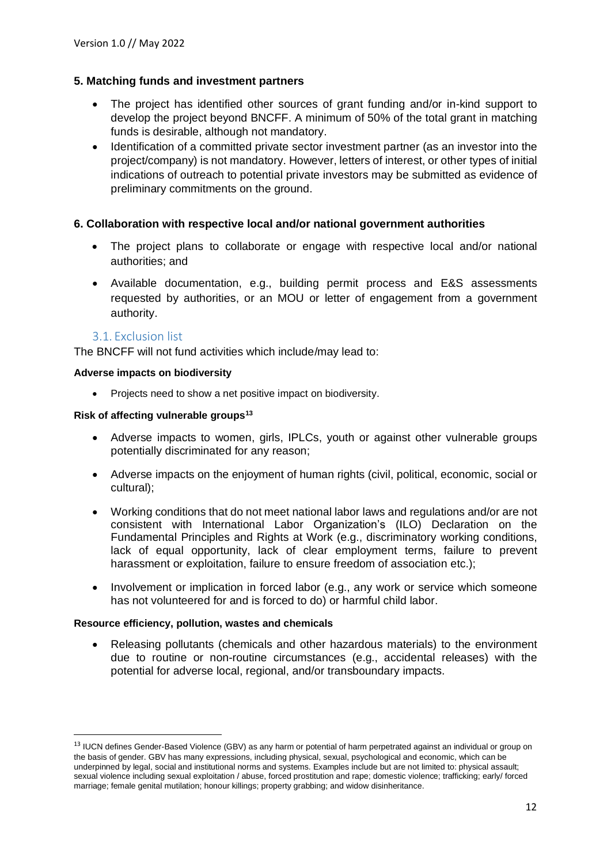### **5. Matching funds and investment partners**

- The project has identified other sources of grant funding and/or in-kind support to develop the project beyond BNCFF. A minimum of 50% of the total grant in matching funds is desirable, although not mandatory.
- Identification of a committed private sector investment partner (as an investor into the project/company) is not mandatory. However, letters of interest, or other types of initial indications of outreach to potential private investors may be submitted as evidence of preliminary commitments on the ground.

#### **6. Collaboration with respective local and/or national government authorities**

- The project plans to collaborate or engage with respective local and/or national authorities; and
- Available documentation, e.g., building permit process and E&S assessments requested by authorities, or an MOU or letter of engagement from a government authority.

#### 3.1. Exclusion list

<span id="page-11-0"></span>The BNCFF will not fund activities which include/may lead to:

#### **Adverse impacts on biodiversity**

• Projects need to show a net positive impact on biodiversity.

#### **Risk of affecting vulnerable groups<sup>13</sup>**

- Adverse impacts to women, girls, IPLCs, youth or against other vulnerable groups potentially discriminated for any reason;
- Adverse impacts on the enjoyment of human rights (civil, political, economic, social or cultural);
- Working conditions that do not meet national labor laws and regulations and/or are not consistent with International Labor Organization's (ILO) Declaration on the Fundamental Principles and Rights at Work (e.g., discriminatory working conditions, lack of equal opportunity, lack of clear employment terms, failure to prevent harassment or exploitation, failure to ensure freedom of association etc.);
- Involvement or implication in forced labor (e.g., any work or service which someone has not volunteered for and is forced to do) or harmful child labor.

#### **Resource efficiency, pollution, wastes and chemicals**

• Releasing pollutants (chemicals and other hazardous materials) to the environment due to routine or non-routine circumstances (e.g., accidental releases) with the potential for adverse local, regional, and/or transboundary impacts.

<sup>&</sup>lt;sup>13</sup> IUCN defines Gender-Based Violence (GBV) as any harm or potential of harm perpetrated against an individual or group on the basis of gender. GBV has many expressions, including physical, sexual, psychological and economic, which can be underpinned by legal, social and institutional norms and systems. Examples include but are not limited to: physical assault; sexual violence including sexual exploitation / abuse, forced prostitution and rape; domestic violence; trafficking; early/ forced marriage; female genital mutilation; honour killings; property grabbing; and widow disinheritance.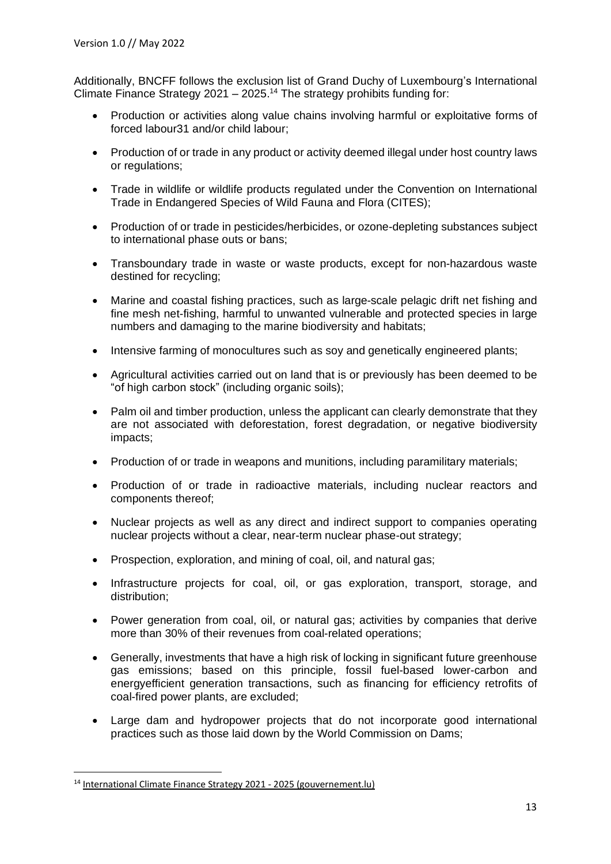Additionally, BNCFF follows the exclusion list of Grand Duchy of Luxembourg's International Climate Finance Strategy 2021 – 2025.<sup>14</sup> The strategy prohibits funding for:

- Production or activities along value chains involving harmful or exploitative forms of forced labour31 and/or child labour;
- Production of or trade in any product or activity deemed illegal under host country laws or regulations;
- Trade in wildlife or wildlife products regulated under the Convention on International Trade in Endangered Species of Wild Fauna and Flora (CITES);
- Production of or trade in pesticides/herbicides, or ozone-depleting substances subject to international phase outs or bans;
- Transboundary trade in waste or waste products, except for non-hazardous waste destined for recycling;
- Marine and coastal fishing practices, such as large-scale pelagic drift net fishing and fine mesh net-fishing, harmful to unwanted vulnerable and protected species in large numbers and damaging to the marine biodiversity and habitats;
- Intensive farming of monocultures such as soy and genetically engineered plants;
- Agricultural activities carried out on land that is or previously has been deemed to be "of high carbon stock" (including organic soils);
- Palm oil and timber production, unless the applicant can clearly demonstrate that they are not associated with deforestation, forest degradation, or negative biodiversity impacts;
- Production of or trade in weapons and munitions, including paramilitary materials;
- Production of or trade in radioactive materials, including nuclear reactors and components thereof;
- Nuclear projects as well as any direct and indirect support to companies operating nuclear projects without a clear, near-term nuclear phase-out strategy;
- Prospection, exploration, and mining of coal, oil, and natural gas:
- Infrastructure projects for coal, oil, or gas exploration, transport, storage, and distribution;
- Power generation from coal, oil, or natural gas; activities by companies that derive more than 30% of their revenues from coal-related operations;
- Generally, investments that have a high risk of locking in significant future greenhouse gas emissions; based on this principle, fossil fuel-based lower-carbon and energyefficient generation transactions, such as financing for efficiency retrofits of coal-fired power plants, are excluded;
- Large dam and hydropower projects that do not incorporate good international practices such as those laid down by the World Commission on Dams;

<sup>14</sup> International Climate Finance Strategy 2021 - 2025 [\(gouvernement.lu\)](https://gouvernement.lu/dam-assets/documents/actualites/2021/07-juillet/26-fci-dieschbourg/Strategie-FCI.pdf)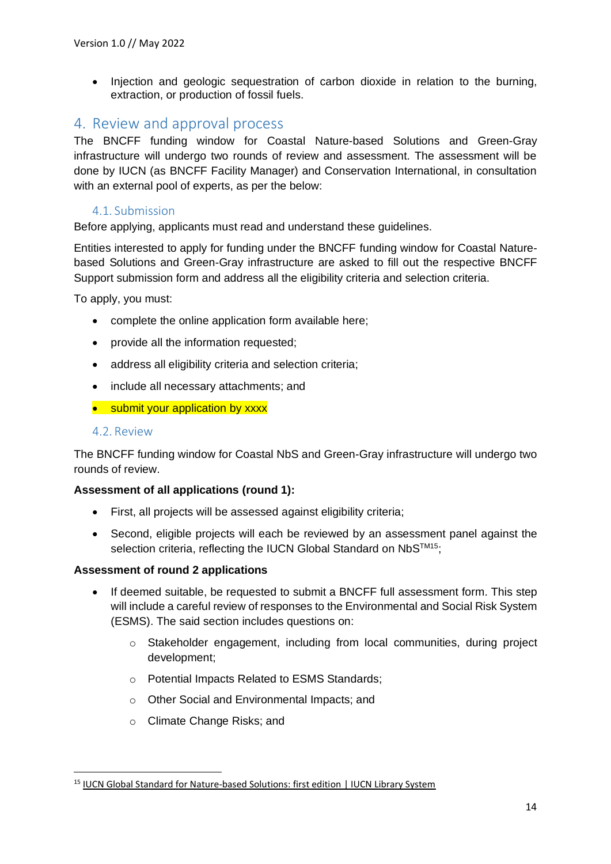• Injection and geologic sequestration of carbon dioxide in relation to the burning, extraction, or production of fossil fuels.

# <span id="page-13-0"></span>4. Review and approval process

The BNCFF funding window for Coastal Nature-based Solutions and Green-Gray infrastructure will undergo two rounds of review and assessment. The assessment will be done by IUCN (as BNCFF Facility Manager) and Conservation International, in consultation with an external pool of experts, as per the below:

# 4.1. Submission

<span id="page-13-1"></span>Before applying, applicants must read and understand these guidelines.

Entities interested to apply for funding under the BNCFF funding window for Coastal Naturebased Solutions and Green-Gray infrastructure are asked to fill out the respective BNCFF Support submission form and address all the eligibility criteria and selection criteria.

To apply, you must:

- complete the online application form available here;
- provide all the information requested;
- address all eligibility criteria and selection criteria;
- include all necessary attachments; and
- submit your application by xxxx

#### <span id="page-13-2"></span>4.2. Review

The BNCFF funding window for Coastal NbS and Green-Gray infrastructure will undergo two rounds of review.

#### **Assessment of all applications (round 1):**

- First, all projects will be assessed against eligibility criteria;
- Second, eligible projects will each be reviewed by an assessment panel against the selection criteria, reflecting the IUCN Global Standard on NbS™<sup>15</sup>;

#### **Assessment of round 2 applications**

- If deemed suitable, be requested to submit a BNCFF full assessment form. This step will include a careful review of responses to the Environmental and Social Risk System (ESMS). The said section includes questions on:
	- $\circ$  Stakeholder engagement, including from local communities, during project development;
	- o Potential Impacts Related to ESMS Standards;
	- o Other Social and Environmental Impacts; and
	- o Climate Change Risks; and

<sup>15</sup> IUCN Global Standard for [Nature-based](https://portals.iucn.org/library/node/49070) Solutions: first edition | IUCN Library System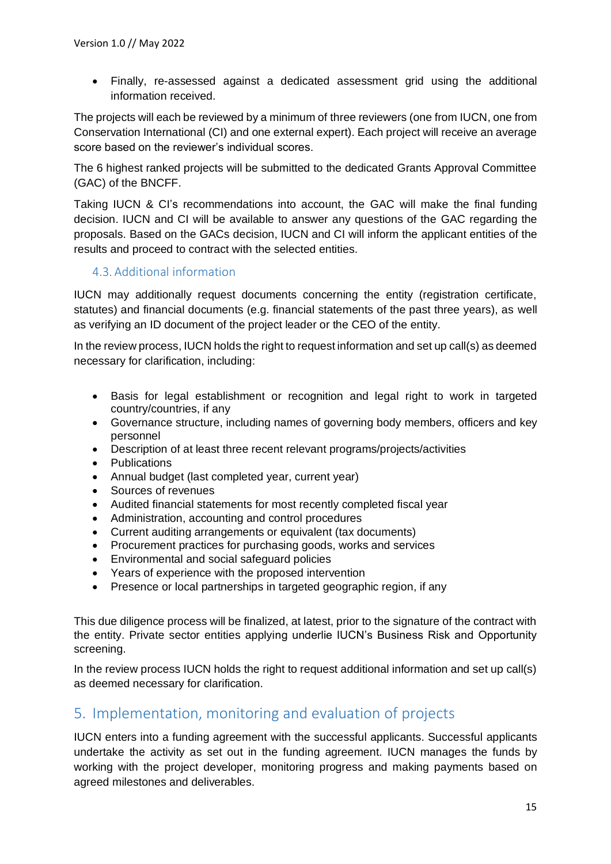• Finally, re-assessed against a dedicated assessment grid using the additional information received.

The projects will each be reviewed by a minimum of three reviewers (one from IUCN, one from Conservation International (CI) and one external expert). Each project will receive an average score based on the reviewer's individual scores.

The 6 highest ranked projects will be submitted to the dedicated Grants Approval Committee (GAC) of the BNCFF.

Taking IUCN & CI's recommendations into account, the GAC will make the final funding decision. IUCN and CI will be available to answer any questions of the GAC regarding the proposals. Based on the GACs decision, IUCN and CI will inform the applicant entities of the results and proceed to contract with the selected entities.

# <span id="page-14-0"></span>4.3. Additional information

IUCN may additionally request documents concerning the entity (registration certificate, statutes) and financial documents (e.g. financial statements of the past three years), as well as verifying an ID document of the project leader or the CEO of the entity.

In the review process, IUCN holds the right to request information and set up call(s) as deemed necessary for clarification, including:

- Basis for legal establishment or recognition and legal right to work in targeted country/countries, if any
- Governance structure, including names of governing body members, officers and key personnel
- Description of at least three recent relevant programs/projects/activities
- **Publications**
- Annual budget (last completed year, current year)
- Sources of revenues
- Audited financial statements for most recently completed fiscal year
- Administration, accounting and control procedures
- Current auditing arrangements or equivalent (tax documents)
- Procurement practices for purchasing goods, works and services
- Environmental and social safeguard policies
- Years of experience with the proposed intervention
- Presence or local partnerships in targeted geographic region, if any

This due diligence process will be finalized, at latest, prior to the signature of the contract with the entity. Private sector entities applying underlie IUCN's Business Risk and Opportunity screening.

In the review process IUCN holds the right to request additional information and set up call(s) as deemed necessary for clarification.

# <span id="page-14-1"></span>5. Implementation, monitoring and evaluation of projects

IUCN enters into a funding agreement with the successful applicants. Successful applicants undertake the activity as set out in the funding agreement. IUCN manages the funds by working with the project developer, monitoring progress and making payments based on agreed milestones and deliverables.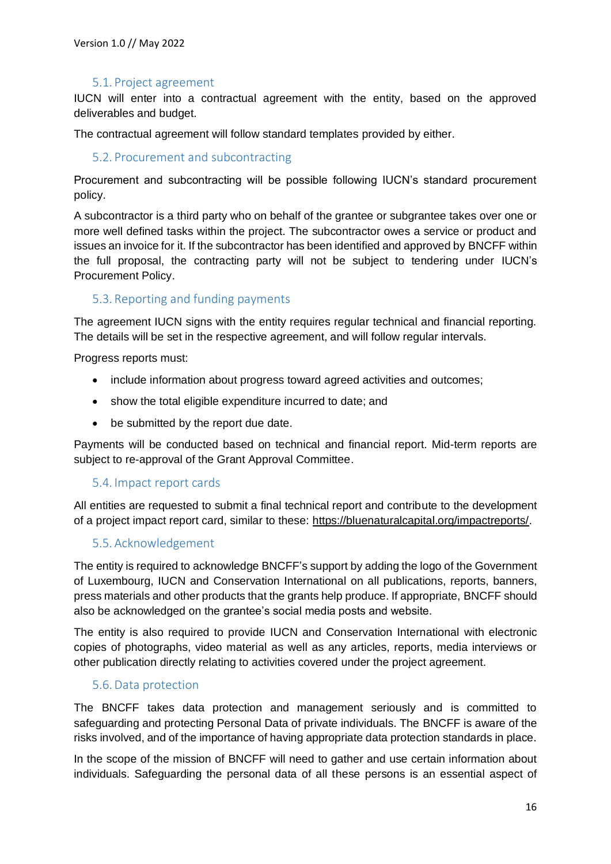### 5.1. Project agreement

<span id="page-15-0"></span>IUCN will enter into a contractual agreement with the entity, based on the approved deliverables and budget.

<span id="page-15-1"></span>The contractual agreement will follow standard templates provided by either.

#### 5.2. Procurement and subcontracting

Procurement and subcontracting will be possible following IUCN's standard procurement policy.

A subcontractor is a third party who on behalf of the grantee or subgrantee takes over one or more well defined tasks within the project. The subcontractor owes a service or product and issues an invoice for it. If the subcontractor has been identified and approved by BNCFF within the full proposal, the contracting party will not be subject to tendering under IUCN's Procurement Policy.

### <span id="page-15-2"></span>5.3. Reporting and funding payments

The agreement IUCN signs with the entity requires regular technical and financial reporting. The details will be set in the respective agreement, and will follow regular intervals.

Progress reports must:

- include information about progress toward agreed activities and outcomes;
- show the total eligible expenditure incurred to date; and
- be submitted by the report due date.

Payments will be conducted based on technical and financial report. Mid-term reports are subject to re-approval of the Grant Approval Committee.

#### <span id="page-15-3"></span>5.4. Impact report cards

All entities are requested to submit a final technical report and contribute to the development of a project impact report card, similar to these: [https://bluenaturalcapital.org/impactreports/.](https://bluenaturalcapital.org/impactreports/)

#### <span id="page-15-4"></span>5.5. Acknowledgement

The entity is required to acknowledge BNCFF's support by adding the logo of the Government of Luxembourg, IUCN and Conservation International on all publications, reports, banners, press materials and other products that the grants help produce. If appropriate, BNCFF should also be acknowledged on the grantee's social media posts and website.

The entity is also required to provide IUCN and Conservation International with electronic copies of photographs, video material as well as any articles, reports, media interviews or other publication directly relating to activities covered under the project agreement.

#### <span id="page-15-5"></span>5.6. Data protection

The BNCFF takes data protection and management seriously and is committed to safeguarding and protecting Personal Data of private individuals. The BNCFF is aware of the risks involved, and of the importance of having appropriate data protection standards in place.

In the scope of the mission of BNCFF will need to gather and use certain information about individuals. Safeguarding the personal data of all these persons is an essential aspect of